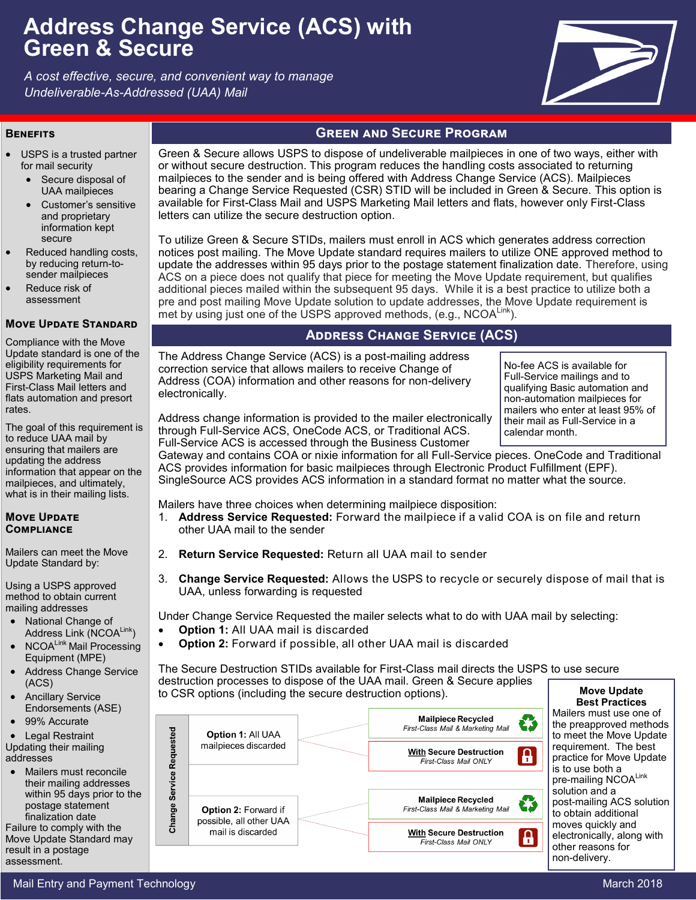# **Address Change Service (ACS) with Green & Secure**

*A cost effective, secure, and convenient way to manage Undeliverable-As-Addressed (UAA) Mail*



- USPS is a trusted partner for mail security
	- Secure disposal of UAA mailpieces
	- Customer's sensitive and proprietary information kept secure
- Reduced handling costs, by reducing return-tosender mailpieces
- Reduce risk of assessment

### **Move Update Standard**

Compliance with the Move Update standard is one of the eligibility requirements for USPS Marketing Mail and First-Class Mail letters and flats automation and presort rates.

The goal of this requirement is to reduce UAA mail by ensuring that mailers are updating the address information that appear on the mailpieces, and ultimately, what is in their mailing lists.

### **Move Update Compliance**

Mailers can meet the Move Update Standard by:

Using a USPS approved method to obtain current mailing addresses

- National Change of Address Link (NCOALink)
- NCOALink Mail Processing Equipment (MPE)
- Address Change Service (ACS)
- Ancillary Service Endorsements (ASE)
- 99% Accurate

 Legal Restraint Updating their mailing addresses

 Mailers must reconcile their mailing addresses within 95 days prior to the postage statement finalization date

Failure to comply with the Move Update Standard may result in a postage assessment.

# **BENEFITS GREEN AND SECURE PROGRAM**

Green & Secure allows USPS to dispose of undeliverable mailpieces in one of two ways, either with or without secure destruction. This program reduces the handling costs associated to returning mailpieces to the sender and is being offered with Address Change Service (ACS). Mailpieces bearing a Change Service Requested (CSR) STID will be included in Green & Secure. This option is available for First-Class Mail and USPS Marketing Mail letters and flats, however only First-Class letters can utilize the secure destruction option.

To utilize Green & Secure STIDs, mailers must enroll in ACS which generates address correction notices post mailing. The Move Update standard requires mailers to utilize ONE approved method to update the addresses within 95 days prior to the postage statement finalization date. Therefore, using ACS on a piece does not qualify that piece for meeting the Move Update requirement, but qualifies additional pieces mailed within the subsequent 95 days. While it is a best practice to utilize both a pre and post mailing Move Update solution to update addresses, the Move Update requirement is met by using just one of the USPS approved methods, (e.g., NCOALink).

# **Address Change Service (ACS)**

The Address Change Service (ACS) is a post-mailing address correction service that allows mailers to receive Change of Address (COA) information and other reasons for non-delivery electronically.

No-fee ACS is available for Full-Service mailings and to qualifying Basic automation and non-automation mailpieces for mailers who enter at least 95% of their mail as Full-Service in a calendar month.

Address change information is provided to the mailer electronically through Full-Service ACS, OneCode ACS, or Traditional ACS. Full-Service ACS is accessed through the Business Customer

Gateway and contains COA or nixie information for all Full-Service pieces. OneCode and Traditional ACS provides information for basic mailpieces through Electronic Product Fulfillment (EPF). SingleSource ACS provides ACS information in a standard format no matter what the source.

- Mailers have three choices when determining mailpiece disposition:
- 1. **Address Service Requested:** Forward the mailpiece if a valid COA is on file and return other UAA mail to the sender
- 2. **Return Service Requested:** Return all UAA mail to sender
- 3. **Change Service Requested:** Allows the USPS to recycle or securely dispose of mail that is UAA, unless forwarding is requested

Under Change Service Requested the mailer selects what to do with UAA mail by selecting:

- **Option 1:** All UAA mail is discarded
	- **Option 2:** Forward if possible, all other UAA mail is discarded

The Secure Destruction STIDs available for First-Class mail directs the USPS to use secure destruction processes to dispose of the UAA mail. Green & Secure applies to CSR options (including the secure destruction options). **Move Update** 



**Best Practices** Mailers must use one of the preapproved methods to meet the Move Update requirement. The best practice for Move Update is to use both a pre-mailing NCOALink solution and a post-mailing ACS solution to obtain additional moves quickly and electronically, along with other reasons for non-delivery.

### Mail Entry and Payment Technology